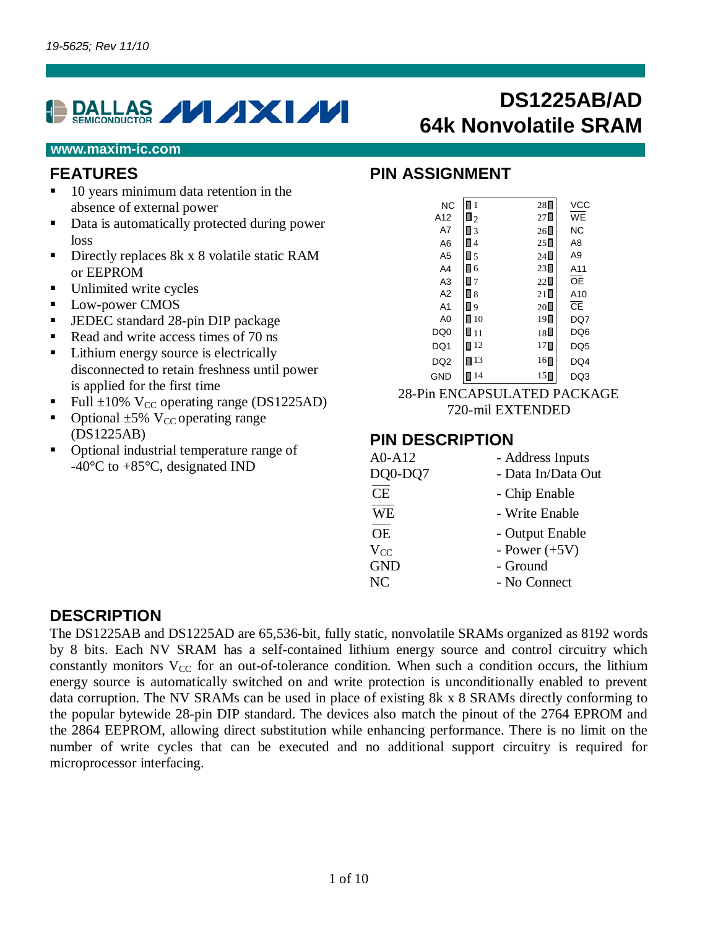# **DALLAS VIXIVI**

# **DS1225AB/AD 64k Nonvolatile SRAM**

#### **www.maxim-ic.com**

#### **FEATURES**

- 10 years minimum data retention in the absence of external power
- Data is automatically protected during power loss
- Directly replaces 8k x 8 volatile static RAM or EEPROM
- Unlimited write cycles
- **Low-power CMOS**
- JEDEC standard 28-pin DIP package
- Read and write access times of 70 ns
- Lithium energy source is electrically disconnected to retain freshness until power is applied for the first time
- Full  $\pm 10\%$  V<sub>CC</sub> operating range (DS1225AD)
- Optional  $\pm 5\%$  V<sub>CC</sub> operating range (DS1225AB)
- Optional industrial temperature range of -40°C to +85°C, designated IND

### **PIN ASSIGNMENT**

| <b>NC</b>       | $\mathbf{1}$      | $28\Box$         | VCC             |
|-----------------|-------------------|------------------|-----------------|
| A12             | $\Box$ 2          | $27\square$      | WE              |
| A7              | П3                | $26\square$      | <b>NC</b>       |
| A6              | Π4                | $25\blacksquare$ | A8              |
| A <sub>5</sub>  | $\blacksquare$ 5  | $24\square$      | A <sub>9</sub>  |
| A4              | П6                | $23\square$      | A11             |
| A <sub>3</sub>  | $\Box$ 7          | $22\Box$         | ŌĒ              |
| A2              | П8                | $21\square$      | A10             |
| A <sub>1</sub>  | 9 ا               | $20\square$      | cЕ              |
| A <sub>0</sub>  | $\blacksquare$ 10 | 19               | DQ7             |
| DQ <sub>0</sub> | ∎ 11              | 18∐              | DQ6             |
| DQ1             | $\blacksquare$ 12 | $17\blacksquare$ | DQ <sub>5</sub> |
| DQ <sub>2</sub> | $\Box$ 13         | 16∏              | DQ4             |
| <b>GND</b>      | 14                | 15               | DQ3             |

28-Pin ENCAPSULATED PACKAGE 720-mil EXTENDED

#### **PIN DESCRIPTION**

| $A0- A12$  | - Address Inputs   |
|------------|--------------------|
| DQ0-DQ7    | - Data In/Data Out |
| CE         | - Chip Enable      |
| <b>WE</b>  | - Write Enable     |
| <b>OE</b>  | - Output Enable    |
| $V_{CC}$   | - Power $(+5V)$    |
| <b>GND</b> | - Ground           |
| NC         | - No Connect       |
|            |                    |

### **DESCRIPTION**

The DS1225AB and DS1225AD are 65,536-bit, fully static, nonvolatile SRAMs organized as 8192 words by 8 bits. Each NV SRAM has a self-contained lithium energy source and control circuitry which constantly monitors  $V_{CC}$  for an out-of-tolerance condition. When such a condition occurs, the lithium energy source is automatically switched on and write protection is unconditionally enabled to prevent data corruption. The NV SRAMs can be used in place of existing 8k x 8 SRAMs directly conforming to the popular bytewide 28-pin DIP standard. The devices also match the pinout of the 2764 EPROM and the 2864 EEPROM, allowing direct substitution while enhancing performance. There is no limit on the number of write cycles that can be executed and no additional support circuitry is required for microprocessor interfacing.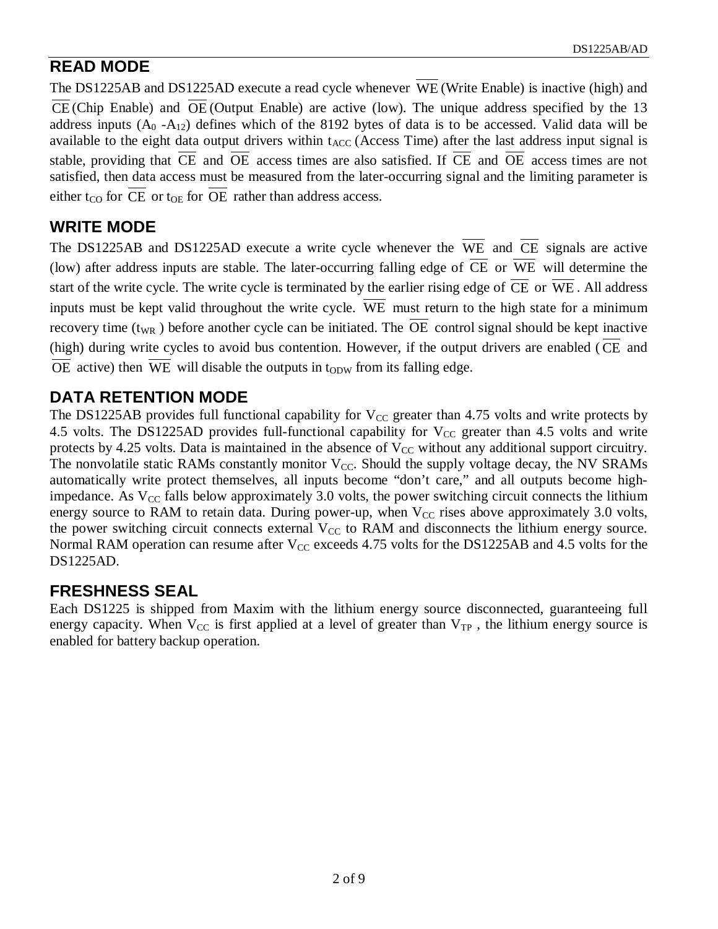# **READ MODE**

The DS1225AB and DS1225AD execute a read cycle whenever WE (Write Enable) is inactive (high) and  $\overline{\text{CE}}$  (Chip Enable) and  $\overline{\text{OE}}$  (Output Enable) are active (low). The unique address specified by the 13 address inputs  $(A_0 - A_{12})$  defines which of the 8192 bytes of data is to be accessed. Valid data will be available to the eight data output drivers within  $t_{ACC}$  (Access Time) after the last address input signal is stable, providing that CE and OE access times are also satisfied. If CE and OE access times are not satisfied, then data access must be measured from the later-occurring signal and the limiting parameter is either  $t_{CO}$  for CE or  $t_{OE}$  for OE rather than address access.

# **WRITE MODE**

The DS1225AB and DS1225AD execute a write cycle whenever the  $\overline{WE}$  and  $\overline{CE}$  signals are active (low) after address inputs are stable. The later-occurring falling edge of  $\overline{CE}$  or  $\overline{WE}$  will determine the start of the write cycle. The write cycle is terminated by the earlier rising edge of  $\overline{CE}$  or  $\overline{WE}$ . All address inputs must be kept valid throughout the write cycle. WE must return to the high state for a minimum recovery time  $(t_{WR}$ ) before another cycle can be initiated. The OE control signal should be kept inactive (high) during write cycles to avoid bus contention. However, if the output drivers are enabled ( $\overline{\text{CE}}$  and OE active) then WE will disable the outputs in  $t_{ODW}$  from its falling edge.

# **DATA RETENTION MODE**

The DS1225AB provides full functional capability for  $V_{CC}$  greater than 4.75 volts and write protects by 4.5 volts. The DS1225AD provides full-functional capability for  $V_{CC}$  greater than 4.5 volts and write protects by 4.25 volts. Data is maintained in the absence of  $V_{CC}$  without any additional support circuitry. The nonvolatile static RAMs constantly monitor  $V_{CC}$ . Should the supply voltage decay, the NV SRAMs automatically write protect themselves, all inputs become "don't care," and all outputs become highimpedance. As  $V_{CC}$  falls below approximately 3.0 volts, the power switching circuit connects the lithium energy source to RAM to retain data. During power-up, when  $V_{CC}$  rises above approximately 3.0 volts, the power switching circuit connects external  $V_{CC}$  to RAM and disconnects the lithium energy source. Normal RAM operation can resume after  $V_{CC}$  exceeds 4.75 volts for the DS1225AB and 4.5 volts for the DS1225AD.

## **FRESHNESS SEAL**

Each DS1225 is shipped from Maxim with the lithium energy source disconnected, guaranteeing full energy capacity. When  $V_{CC}$  is first applied at a level of greater than  $V_{TP}$ , the lithium energy source is enabled for battery backup operation.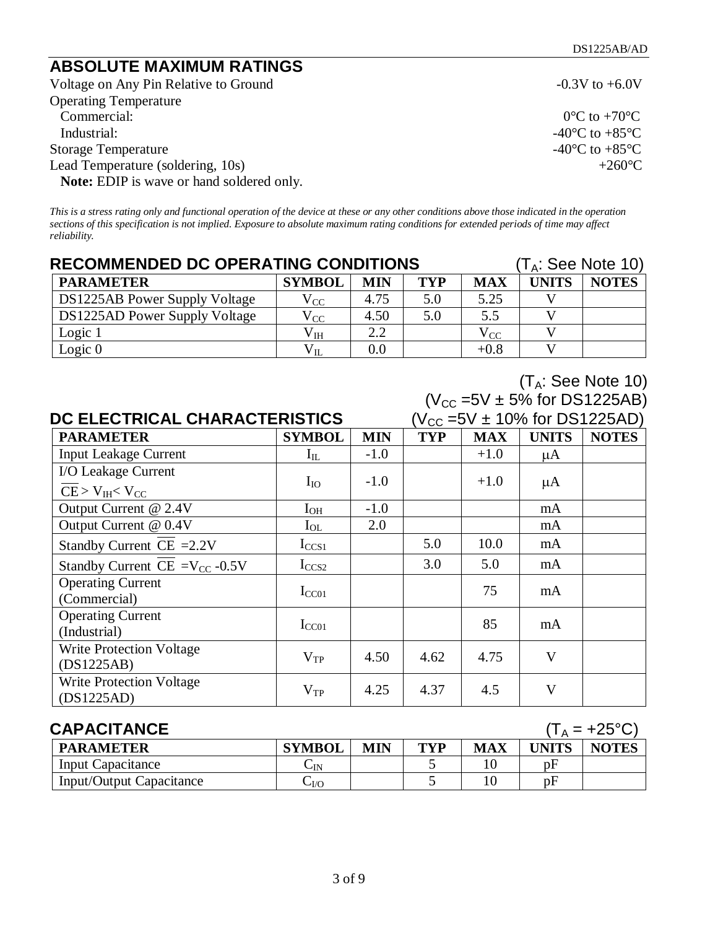# **ABSOLUTE MAXIMUM RATINGS**

Voltage on Any Pin Relative to Ground -0.3V to +6.0V Operating Temperature Industrial:  $-40^{\circ}\text{C}$  to  $+85^{\circ}\text{C}$ <br>torage Temperature  $-40^{\circ}\text{C}$  to  $+85^{\circ}\text{C}$ Storage Temperature Lead Temperature (soldering, 10s)  $+260^{\circ}$ C **Note:** EDIP is wave or hand soldered only.

 $0^{\circ}$ C to +70 $^{\circ}$ C

 $(T_A:$  See Note 10)

*This is a stress rating only and functional operation of the device at these or any other conditions above those indicated in the operation sections of this specification is not implied. Exposure to absolute maximum rating conditions for extended periods of time may affect reliability.*

| <b>RECOMMENDED DC OPERATING CONDITIONS</b><br>$(T_A:$ See Note 10) |               |            |            |            |              |              |  |
|--------------------------------------------------------------------|---------------|------------|------------|------------|--------------|--------------|--|
| <b>PARAMETER</b>                                                   | <b>SYMBOL</b> | <b>MIN</b> | <b>TYP</b> | <b>MAX</b> | <b>UNITS</b> | <b>NOTES</b> |  |
| DS1225AB Power Supply Voltage                                      | $\rm V_{CC}$  | 4.75       | 5.0        | 5.25       |              |              |  |
| DS1225AD Power Supply Voltage                                      | $\rm V_{CC}$  | 4.50       | 5.0        | 5.5        |              |              |  |
| Logic 1                                                            | $\rm V_{IH}$  | 2.2        |            | $V_{CC}$   |              |              |  |
| Logic $0$                                                          | $\rm V_{II}$  | $0.0\,$    |            | $+0.8$     |              |              |  |

|                                               | $(V_{CC} = 5V \pm 5\%$ for DS1225AB) |            |            |            |                                           |              |  |  |  |
|-----------------------------------------------|--------------------------------------|------------|------------|------------|-------------------------------------------|--------------|--|--|--|
|                                               | <b>DC ELECTRICAL CHARACTERISTICS</b> |            |            |            | $(V_{\rm CC} = 5V \pm 10\%$ for DS1225AD) |              |  |  |  |
| <b>PARAMETER</b>                              | <b>SYMBOL</b>                        | <b>MIN</b> | <b>TYP</b> | <b>MAX</b> | <b>UNITS</b>                              | <b>NOTES</b> |  |  |  |
| <b>Input Leakage Current</b>                  | $I_{IL}$                             | $-1.0$     |            | $+1.0$     | $\mu A$                                   |              |  |  |  |
| I/O Leakage Current                           |                                      |            |            |            |                                           |              |  |  |  |
| $CE > V_{IH} < V_{CC}$                        | $I_{IO}$                             | $-1.0$     |            | $+1.0$     | $\mu A$                                   |              |  |  |  |
| Output Current @ 2.4V                         | $I_{OH}$                             | $-1.0$     |            |            | mA                                        |              |  |  |  |
| Output Current @ 0.4V                         | $I_{OL}$                             | 2.0        |            |            | mA                                        |              |  |  |  |
| Standby Current CE $=2.2V$                    | $I_{CCS1}$                           |            | 5.0        | 10.0       | mA                                        |              |  |  |  |
| Standby Current CE = $V_{CC}$ -0.5V           | $I_{CCS2}$                           |            | 3.0        | 5.0        | mA                                        |              |  |  |  |
| <b>Operating Current</b><br>(Commercial)      | $I_{CC01}$                           |            |            | 75         | mA                                        |              |  |  |  |
| <b>Operating Current</b><br>(Industrial)      | $I_{CC01}$                           |            |            | 85         | mA                                        |              |  |  |  |
| <b>Write Protection Voltage</b><br>(DS1225AB) | $V_{TP}$                             | 4.50       | 4.62       | 4.75       | V                                         |              |  |  |  |
| <b>Write Protection Voltage</b><br>(DS1225AD) | $V_{TP}$                             | 4.25       | 4.37       | 4.5        | V                                         |              |  |  |  |

| <b>CAPACITANCE</b><br>$(T_A = +25^{\circ}C)$ |                    |            |     |            |       |              |  |
|----------------------------------------------|--------------------|------------|-----|------------|-------|--------------|--|
| <b>PARAMETER</b>                             | <b>SYMBOL</b>      | <b>MIN</b> | TYP | <b>MAX</b> | UNITS | <b>NOTES</b> |  |
| Input Capacitance                            | $\mathsf{\cup IN}$ |            |     |            | pF    |              |  |
| Input/Output Capacitance                     | $-VQ$              |            |     |            | pF    |              |  |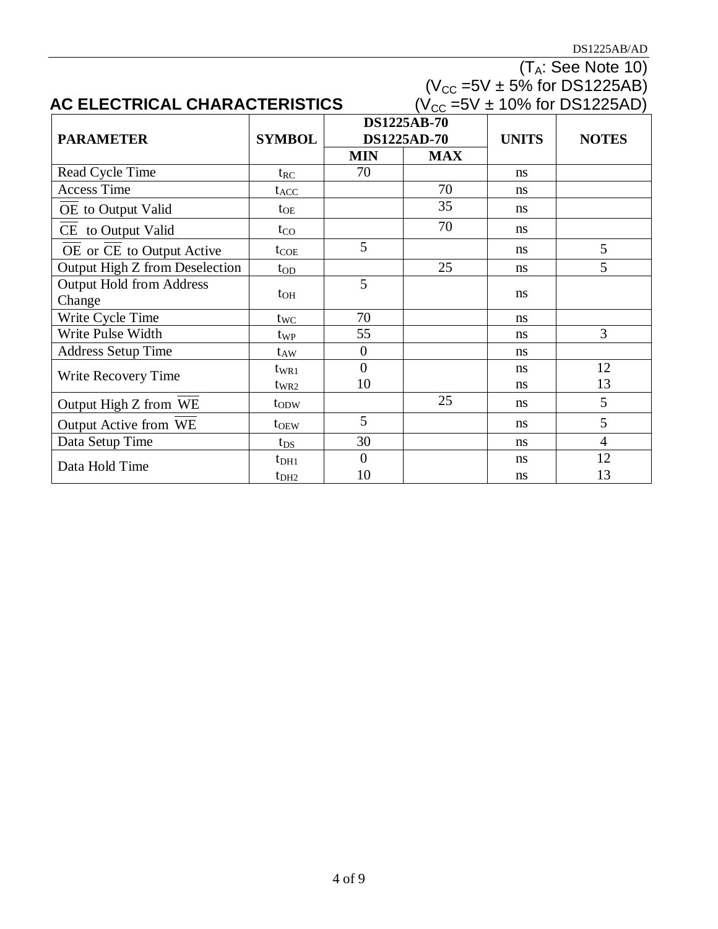DS1225AB/AD

|                                 |                  |                |                    |              | $(T_A:$ See Note 10)                  |
|---------------------------------|------------------|----------------|--------------------|--------------|---------------------------------------|
|                                 |                  |                |                    |              | $(V_{CC} = 5V \pm 5\%$ for DS1225AB)  |
| AC ELECTRICAL CHARACTERISTICS   |                  |                |                    |              | $(V_{CC} = 5V \pm 10\%$ for DS1225AD) |
|                                 |                  |                | <b>DS1225AB-70</b> |              |                                       |
| <b>PARAMETER</b>                | <b>SYMBOL</b>    |                | <b>DS1225AD-70</b> | <b>UNITS</b> | <b>NOTES</b>                          |
|                                 |                  | <b>MIN</b>     | <b>MAX</b>         |              |                                       |
| Read Cycle Time                 | $t_{RC}$         | 70             |                    | ns           |                                       |
| <b>Access Time</b>              | $t_{ACC}$        |                | 70                 | ns           |                                       |
| OE to Output Valid              | $t_{OE}$         |                | 35                 | ns           |                                       |
| CE to Output Valid              | $t_{\rm CO}$     |                | 70                 | ns           |                                       |
| OE or CE to Output Active       | $t_{COE}$        | 5              |                    | ns           | 5                                     |
| Output High Z from Deselection  | $t_{OD}$         |                | 25                 | ns           | 5                                     |
| <b>Output Hold from Address</b> |                  | 5              |                    |              |                                       |
| Change                          | $t_{OH}$         |                |                    | ns           |                                       |
| Write Cycle Time                | $t_{\text{WC}}$  | 70             |                    | ns           |                                       |
| Write Pulse Width               | t <sub>WP</sub>  | 55             |                    | ns           | 3                                     |
| <b>Address Setup Time</b>       | $t_{AW}$         | $\overline{0}$ |                    | ns           |                                       |
|                                 | $t_{WR1}$        | $\theta$       |                    | ns           | 12                                    |
| Write Recovery Time             | $t_{WR2}$        | 10             |                    | ns           | 13                                    |
| Output High Z from WE           | t <sub>od</sub>  |                | 25                 | ns           | 5                                     |
| Output Active from WE           | t <sub>OEW</sub> | 5              |                    | ns           | 5                                     |
| Data Setup Time                 | $t_{DS}$         | 30             |                    | ns           | $\overline{4}$                        |
| Data Hold Time                  | $t_{\rm DH1}$    | $\overline{0}$ |                    | ns           | 12                                    |
|                                 | t <sub>DH2</sub> | 10             |                    | ns           | 13                                    |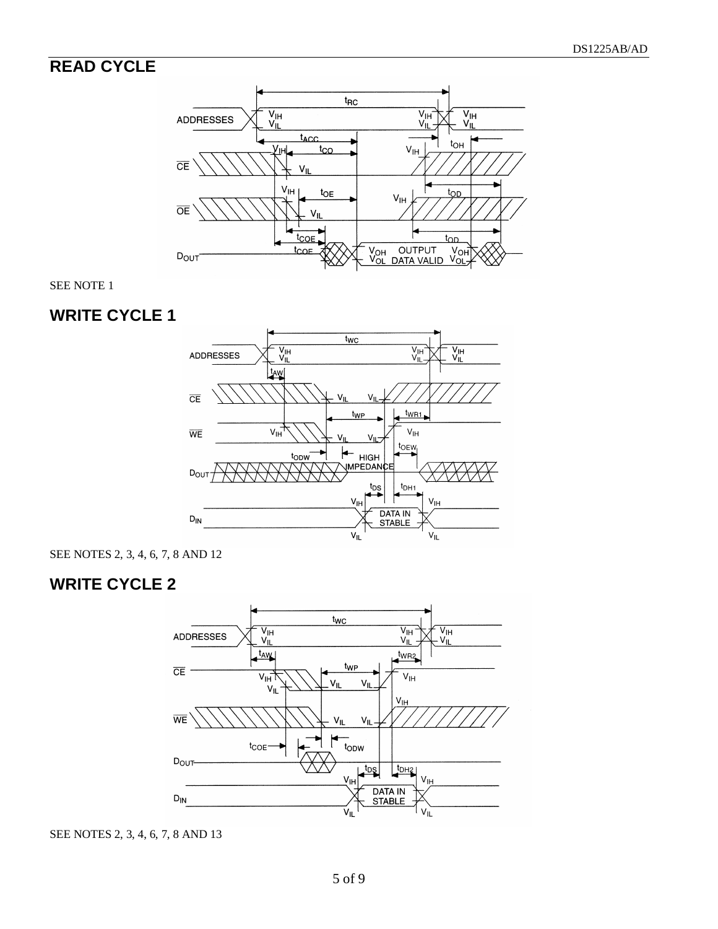# **READ CYCLE**



SEE NOTE 1



SEE NOTES 2, 3, 4, 6, 7, 8 AND 12

# **WRITE CYCLE 2**



SEE NOTES 2, 3, 4, 6, 7, 8 AND 13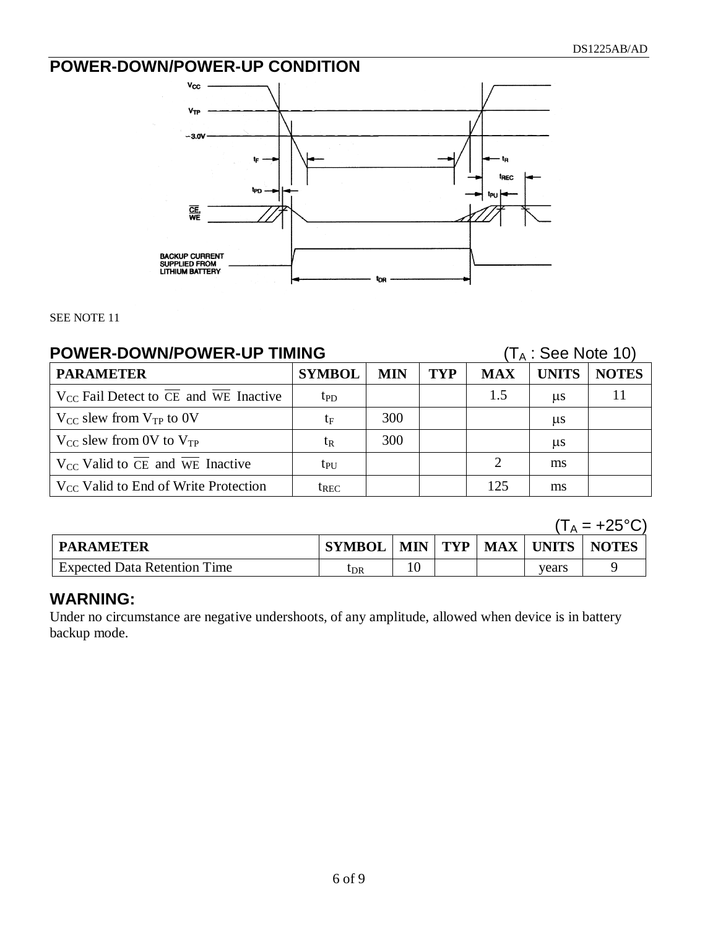# **POWER-DOWN/POWER-UP CONDITION**



SEE NOTE 11

| <b>POWER-DOWN/POWER-UP TIMING</b>                                    |                  |            |            |               | $(T_A:$ See Note 10) |              |  |
|----------------------------------------------------------------------|------------------|------------|------------|---------------|----------------------|--------------|--|
| <b>PARAMETER</b>                                                     | <b>SYMBOL</b>    | <b>MIN</b> | <b>TYP</b> | <b>MAX</b>    | <b>UNITS</b>         | <b>NOTES</b> |  |
| $V_{CC}$ Fail Detect to $\overline{CE}$ and $\overline{WE}$ Inactive | $t_{\text{PD}}$  |            |            | 1.5           | us                   |              |  |
| $V_{CC}$ slew from $V_{TP}$ to 0V                                    | $t_{\rm F}$      | 300        |            |               | us                   |              |  |
| $V_{CC}$ slew from 0V to $V_{TP}$                                    | $t_{R}$          | 300        |            |               | $\mu s$              |              |  |
| $V_{CC}$ Valid to $\overline{CE}$ and $\overline{WE}$ Inactive       | $t_{\rm PU}$     |            |            | $\mathcal{D}$ | ms                   |              |  |
| $V_{CC}$ Valid to End of Write Protection                            | t <sub>rec</sub> |            |            | 125           | ms                   |              |  |

|                                     |               |    |  |       | $\overline{1_A} = +25^{\circ}$  |
|-------------------------------------|---------------|----|--|-------|---------------------------------|
| <b>PARAMETER</b>                    | <b>SYMBOL</b> |    |  |       | MIN   TYP   MAX   UNITS   NOTES |
| <b>Expected Data Retention Time</b> | ldr           | 10 |  | vears |                                 |

### **WARNING:**

Under no circumstance are negative undershoots, of any amplitude, allowed when device is in battery backup mode.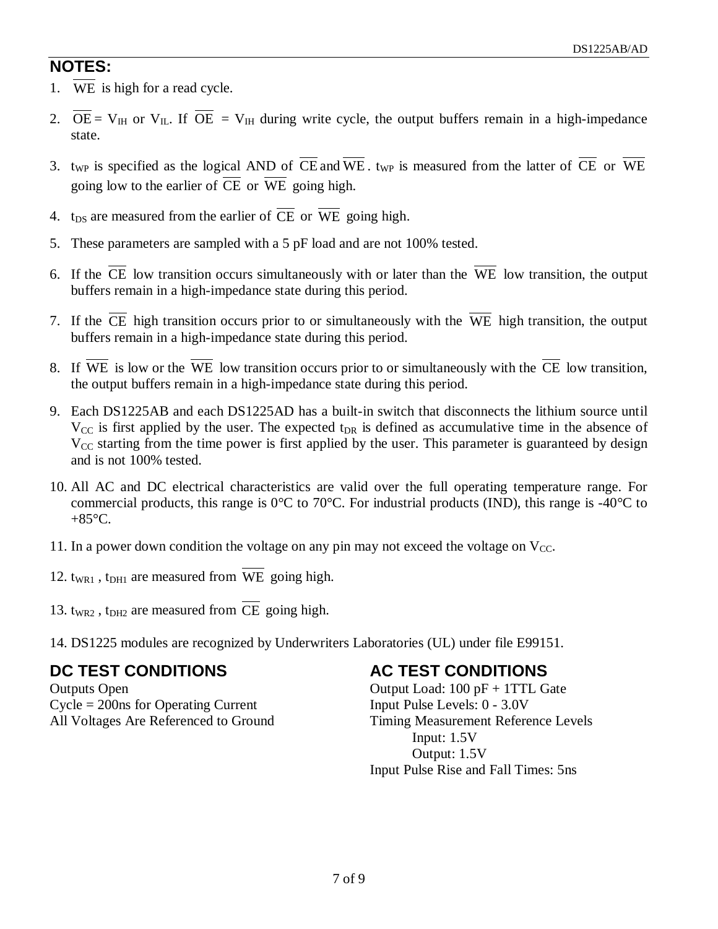# **NOTES:**

- 1. WE is high for a read cycle.
- 2.  $\overline{OE} = V_{IH}$  or  $V_{IL}$ . If  $\overline{OE} = V_{IH}$  during write cycle, the output buffers remain in a high-impedance state.
- 3. t<sub>WP</sub> is specified as the logical AND of  $\overline{CE}$  and  $\overline{WE}$ . t<sub>WP</sub> is measured from the latter of  $\overline{CE}$  or  $\overline{WE}$ going low to the earlier of  $\overline{CE}$  or  $\overline{WE}$  going high.
- 4. t<sub>DS</sub> are measured from the earlier of  $\overline{CE}$  or  $\overline{WE}$  going high.
- 5. These parameters are sampled with a 5 pF load and are not 100% tested.
- 6. If the CE low transition occurs simultaneously with or later than the WE low transition, the output buffers remain in a high-impedance state during this period.
- 7. If the CE high transition occurs prior to or simultaneously with the WE high transition, the output buffers remain in a high-impedance state during this period.
- 8. If WE is low or the WE low transition occurs prior to or simultaneously with the CE low transition, the output buffers remain in a high-impedance state during this period.
- 9. Each DS1225AB and each DS1225AD has a built-in switch that disconnects the lithium source until  $V_{\text{CC}}$  is first applied by the user. The expected t<sub>DR</sub> is defined as accumulative time in the absence of  $V_{CC}$  starting from the time power is first applied by the user. This parameter is guaranteed by design and is not 100% tested.
- 10. All AC and DC electrical characteristics are valid over the full operating temperature range. For commercial products, this range is 0°C to 70°C. For industrial products (IND), this range is -40°C to  $+85^{\circ}$ C.
- 11. In a power down condition the voltage on any pin may not exceed the voltage on  $V_{CC}$ .
- 12.  $t_{WRI}$ ,  $t_{DHI}$  are measured from WE going high.
- 13.  $t_{WR2}$ ,  $t_{DH2}$  are measured from CE going high.
- 14. DS1225 modules are recognized by Underwriters Laboratories (UL) under file E99151.

# **DC TEST CONDITIONS**

Outputs Open Cycle = 200ns for Operating Current All Voltages Are Referenced to Ground

## **AC TEST CONDITIONS**

Output Load: 100 pF + 1TTL Gate Input Pulse Levels: 0 - 3.0V Timing Measurement Reference Levels Input: 1.5V Output: 1.5V Input Pulse Rise and Fall Times: 5ns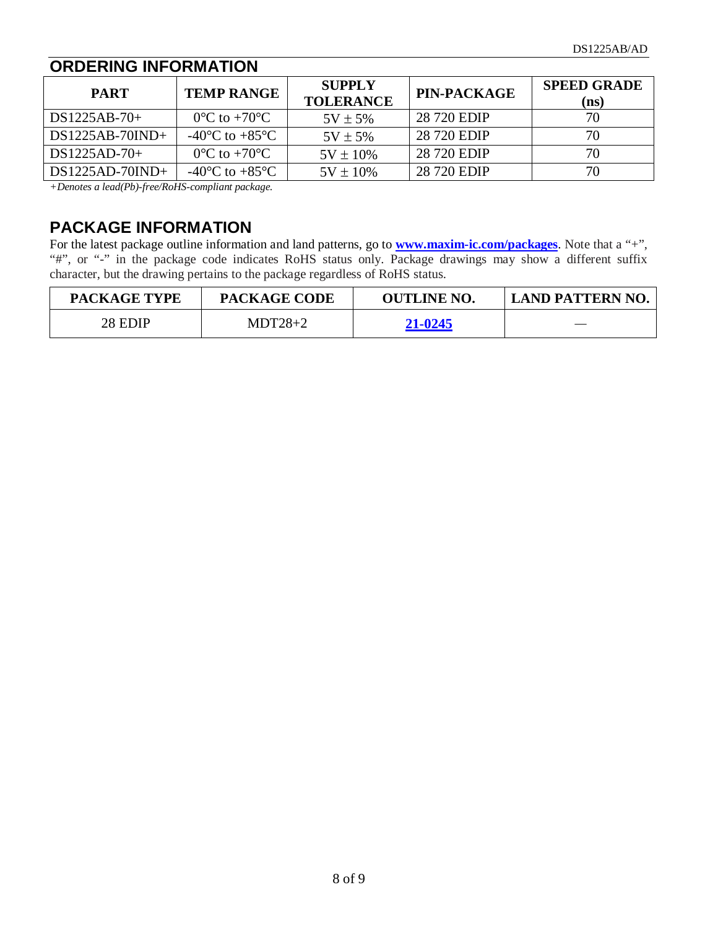#### **ORDERING INFORMATION PART TEMP RANGE SUPPLY TOLERANCE TOLERANCE PIN-PACKAGE SPEED GRADE**<br> **TO PIN-PACKAGE SPEED GRADE (ns)**  $DS1225AB-70+$  0°C to +70°C 5V ± 5%  $DS1225AB-70IND+$   $-40^{\circ}C$  to  $+85^{\circ}C$   $5V \pm 5\%$  28 720 EDIP 70  $DS1225AD-70+$   $0^{\circ}C$  to +70°C  $\vert$  5V ± 10% 28 720 EDIP 70  $DS1225AD-70IND+$   $-40°C$  to  $+85°C$   $5V \pm 10\%$   $28\,720$  EDIP 70

*+Denotes a lead(Pb)-free/RoHS-compliant package.*

# **PACKAGE INFORMATION**

For the latest package outline information and land patterns, go to **[www.maxim-ic.com/packages](http://www.maxim-ic.com/packages)**. Note that a "+", "#", or "-" in the package code indicates RoHS status only. Package drawings may show a different suffix character, but the drawing pertains to the package regardless of RoHS status.

| <b>PACKAGE TYPE</b> | <b>PACKAGE CODE</b> | <b>OUTLINE NO.</b> | LAND PATTERN NO. |
|---------------------|---------------------|--------------------|------------------|
| 28 EDIP             | $MDT28+2$           | 21-0245            |                  |